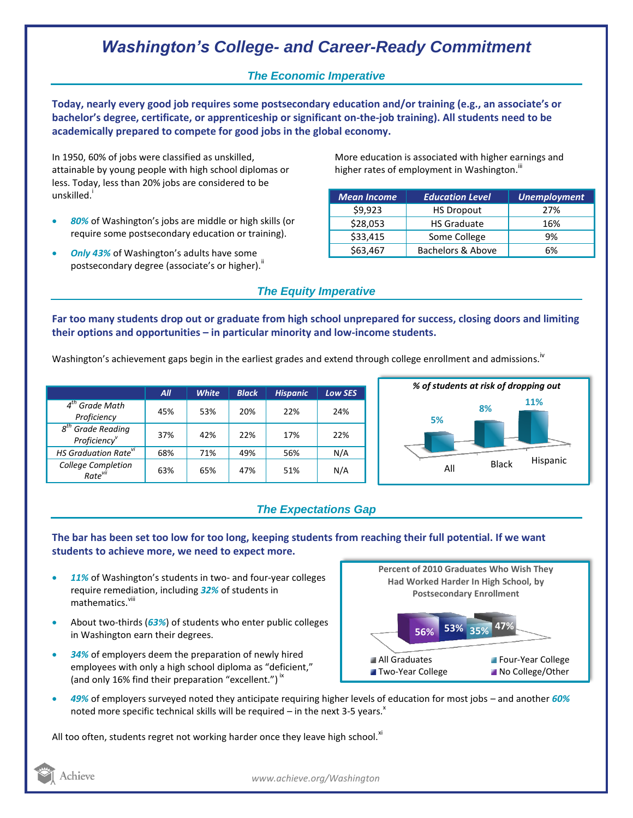# *Washington's College- and Career-Ready Commitment*

## *The Economic Imperative*

**Today, nearly every good job requires some postsecondary education and/or training (e.g., an associate's or bachelor's degree, certificate, or apprenticeship or significant on-the-job training). All students need to be academically prepared to compete for good jobs in the global economy.**

In 1950, 60% of jobs were classified as unskilled, attainable by young people with high school diplomas or less. Today, less than 20% jobs are considered to be unskilled.<sup>i</sup>

- *80%* of Washington's jobs are middle or high skills (or require some postsecondary education or training).
- *Only 43%* of Washington's adults have some postsecondary degree (associate's or higher).<sup>ii</sup>

More education is associated with higher earnings and higher rates of employment in Washington.<sup>III</sup>

| <b>Mean Income</b> | <b>Education Level</b> | <b>Unemployment</b> |
|--------------------|------------------------|---------------------|
| \$9,923            | <b>HS Dropout</b>      | 27%                 |
| \$28,053           | <b>HS Graduate</b>     | 16%                 |
| \$33,415           | Some College           | 9%                  |
| \$63,467           | Bachelors & Above      | 6%                  |

### *The Equity Imperative*

**Far too many students drop out or graduate from high school unprepared for success, closing doors and limiting their options and opportunities – in particular minority and low-income students.** 

Washington's achievement gaps begin in the earliest grades and extend through college enrollment and admissions.<sup>iv</sup>

|                                                                    | All | <b>White</b> | <b>Black</b> | <b>Hispanic</b> | <b>Low SES</b> |
|--------------------------------------------------------------------|-----|--------------|--------------|-----------------|----------------|
| $4th$ Grade Math<br>Proficiency                                    | 45% | 53%          | 20%          | 22%             | 24%            |
| <sup>h</sup> Grade Reading<br>$g^{tn}$<br>Proficiency <sup>v</sup> | 37% | 42%          | 22%          | 17%             | 22%            |
| HS Graduation Rate <sup>vi</sup>                                   | 68% | 71%          | 49%          | 56%             | N/A            |
| College Completion<br>Rate <sup>vii</sup>                          | 63% | 65%          | 47%          | 51%             | N/A            |



# *The Expectations Gap*

#### **The bar has been set too low for too long, keeping students from reaching their full potential. If we want students to achieve more, we need to expect more.**

- *11%* of Washington's students in two- and four-year colleges require remediation, including *32%* of students in mathematics.<sup>viii</sup>
- About two-thirds (*63%*) of students who enter public colleges in Washington earn their degrees.
- *34%* of employers deem the preparation of newly hired employees with only a high school diploma as "deficient," (and only 16% find their preparation "excellent.")<sup>ix</sup>



 *49%* of employers surveyed noted they anticipate requiring higher levels of education for most jobs – and another *60%* noted more specific technical skills will be required – in the next 3-5 years.<sup> $x$ </sup>

All too often, students regret not working harder once they leave high school. $^{x}$